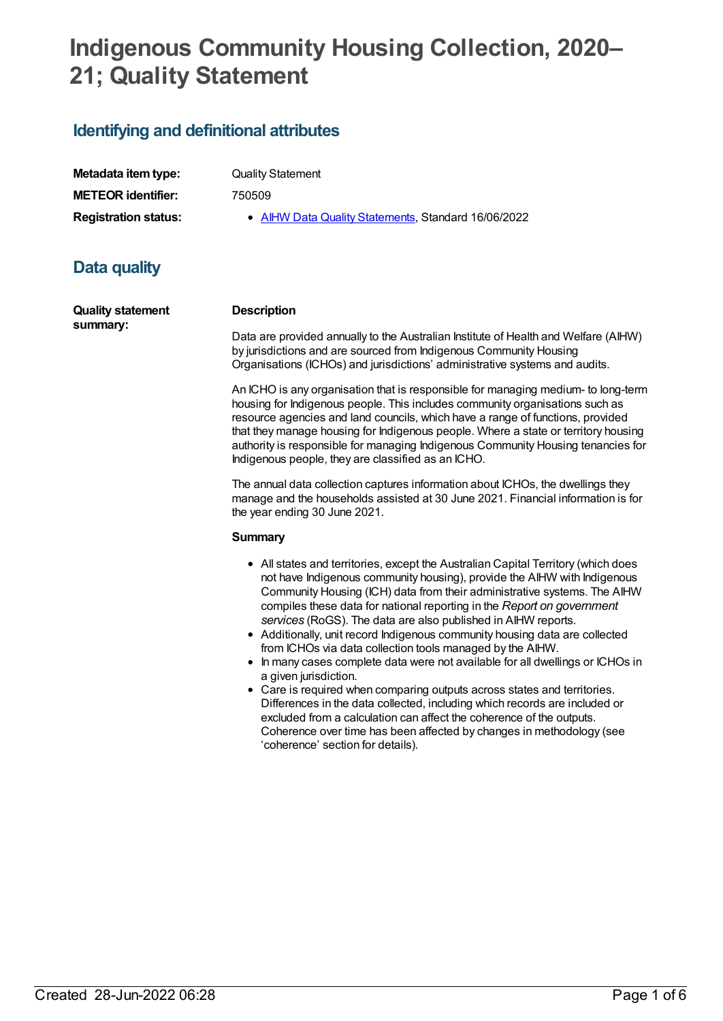# **Indigenous Community Housing Collection, 2020– 21; Quality Statement**

## **Identifying and definitional attributes**

| Metadata item type:         |
|-----------------------------|
| <b>METEOR identifier:</b>   |
| <b>Registration status:</b> |

**Quality Statement** 

**METEOR identifier:** 750509

**AIHW Data Quality [Statements](https://meteor.aihw.gov.au/RegistrationAuthority/5), Standard 16/06/2022** 

# **Data quality**

**Quality statement summary:**

#### **Description**

Data are provided annually to the Australian Institute of Health and Welfare (AIHW) by jurisdictions and are sourced from Indigenous Community Housing Organisations (ICHOs) and jurisdictions' administrative systems and audits.

An ICHO is any organisation that is responsible for managing medium- to long-term housing for Indigenous people. This includes community organisations such as resource agencies and land councils, which have a range of functions, provided that they manage housing for Indigenous people. Where a state or territory housing authority is responsible for managing Indigenous Community Housing tenancies for Indigenous people, they are classified as an ICHO.

The annual data collection captures information about ICHOs, the dwellings they manage and the households assisted at 30 June 2021. Financial information is for the year ending 30 June 2021.

#### **Summary**

- All states and territories, except the Australian Capital Territory (which does not have Indigenous community housing), provide the AIHW with Indigenous Community Housing (ICH) data from their administrative systems. The AIHW compiles these data for national reporting in the *Report on government services* (RoGS). The data are also published in AIHW reports.
- Additionally, unit record Indigenous community housing data are collected from ICHOs via data collection tools managed by the AIHW.
- In many cases complete data were not available for all dwellings or ICHOs in a given jurisdiction.
- Care is required when comparing outputs across states and territories. Differences in the data collected, including which records are included or excluded from a calculation can affect the coherence of the outputs. Coherence over time has been affected by changes in methodology (see 'coherence' section for details).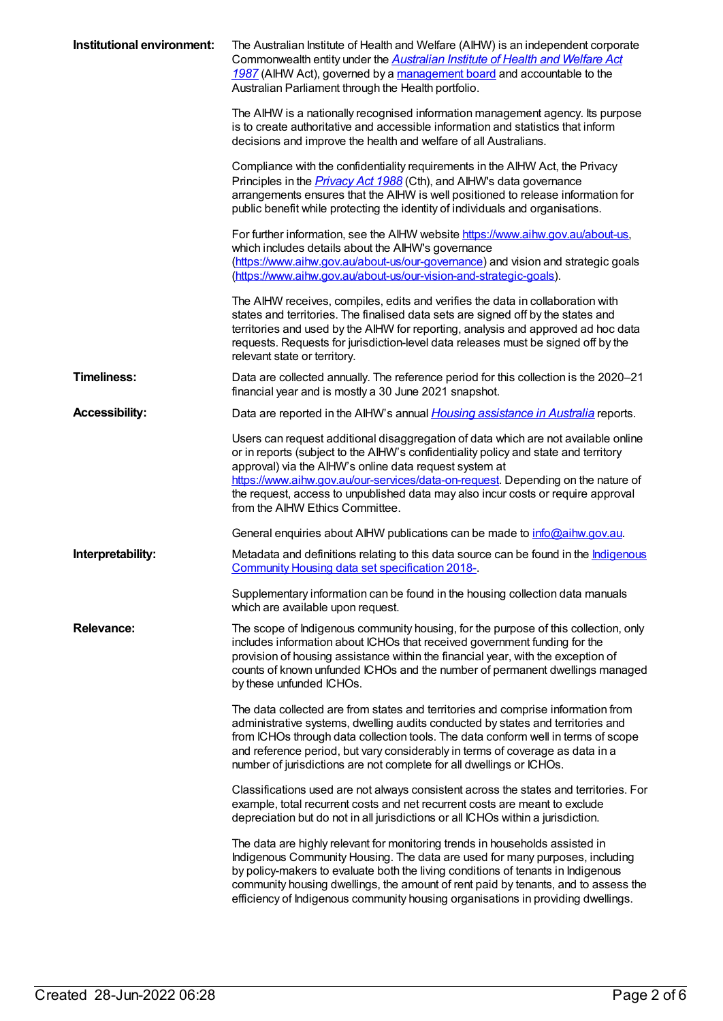| Institutional environment: | The Australian Institute of Health and Welfare (AIHW) is an independent corporate<br>Commonwealth entity under the Australian Institute of Health and Welfare Act<br>1987 (AIHW Act), governed by a management board and accountable to the<br>Australian Parliament through the Health portfolio.<br>The AIHW is a nationally recognised information management agency. Its purpose                                       |
|----------------------------|----------------------------------------------------------------------------------------------------------------------------------------------------------------------------------------------------------------------------------------------------------------------------------------------------------------------------------------------------------------------------------------------------------------------------|
|                            | is to create authoritative and accessible information and statistics that inform<br>decisions and improve the health and welfare of all Australians.                                                                                                                                                                                                                                                                       |
|                            | Compliance with the confidentiality requirements in the AIHW Act, the Privacy<br>Principles in the <i>Privacy Act 1988</i> (Cth), and AIHW's data governance<br>arrangements ensures that the AIHW is well positioned to release information for<br>public benefit while protecting the identity of individuals and organisations.                                                                                         |
|                            | For further information, see the AIHW website https://www.aihw.gov.au/about-us,<br>which includes details about the AIHW's governance<br>(https://www.aihw.gov.au/about-us/our-governance) and vision and strategic goals<br>(https://www.aihw.gov.au/about-us/our-vision-and-strategic-goals).                                                                                                                            |
|                            | The AIHW receives, compiles, edits and verifies the data in collaboration with<br>states and territories. The finalised data sets are signed off by the states and<br>territories and used by the AIHW for reporting, analysis and approved ad hoc data<br>requests. Requests for jurisdiction-level data releases must be signed off by the<br>relevant state or territory.                                               |
| <b>Timeliness:</b>         | Data are collected annually. The reference period for this collection is the 2020–21<br>financial year and is mostly a 30 June 2021 snapshot.                                                                                                                                                                                                                                                                              |
| <b>Accessibility:</b>      | Data are reported in the AIHW's annual <i>Housing assistance in Australia</i> reports.                                                                                                                                                                                                                                                                                                                                     |
|                            | Users can request additional disaggregation of data which are not available online<br>or in reports (subject to the AIHW's confidentiality policy and state and territory<br>approval) via the AIHW's online data request system at<br>https://www.aihw.gov.au/our-services/data-on-request. Depending on the nature of                                                                                                    |
|                            | the request, access to unpublished data may also incur costs or require approval<br>from the AIHW Ethics Committee.                                                                                                                                                                                                                                                                                                        |
|                            | General enquiries about AIHW publications can be made to <i>info@aihw.gov.au.</i>                                                                                                                                                                                                                                                                                                                                          |
| Interpretability:          | Metadata and definitions relating to this data source can be found in the <b>Indigenous</b><br>Community Housing data set specification 2018-                                                                                                                                                                                                                                                                              |
|                            | Supplementary information can be found in the housing collection data manuals<br>which are available upon request.                                                                                                                                                                                                                                                                                                         |
| <b>Relevance:</b>          | The scope of Indigenous community housing, for the purpose of this collection, only<br>includes information about ICHOs that received government funding for the<br>provision of housing assistance within the financial year, with the exception of<br>counts of known unfunded ICHOs and the number of permanent dwellings managed<br>by these unfunded ICHOs.                                                           |
|                            | The data collected are from states and territories and comprise information from<br>administrative systems, dwelling audits conducted by states and territories and<br>from ICHOs through data collection tools. The data conform well in terms of scope<br>and reference period, but vary considerably in terms of coverage as data in a<br>number of jurisdictions are not complete for all dwellings or ICHOs.          |
|                            | Classifications used are not always consistent across the states and territories. For<br>example, total recurrent costs and net recurrent costs are meant to exclude<br>depreciation but do not in all jurisdictions or all ICHOs within a jurisdiction.                                                                                                                                                                   |
|                            | The data are highly relevant for monitoring trends in households assisted in<br>Indigenous Community Housing. The data are used for many purposes, including<br>by policy-makers to evaluate both the living conditions of tenants in Indigenous<br>community housing dwellings, the amount of rent paid by tenants, and to assess the<br>efficiency of Indigenous community housing organisations in providing dwellings. |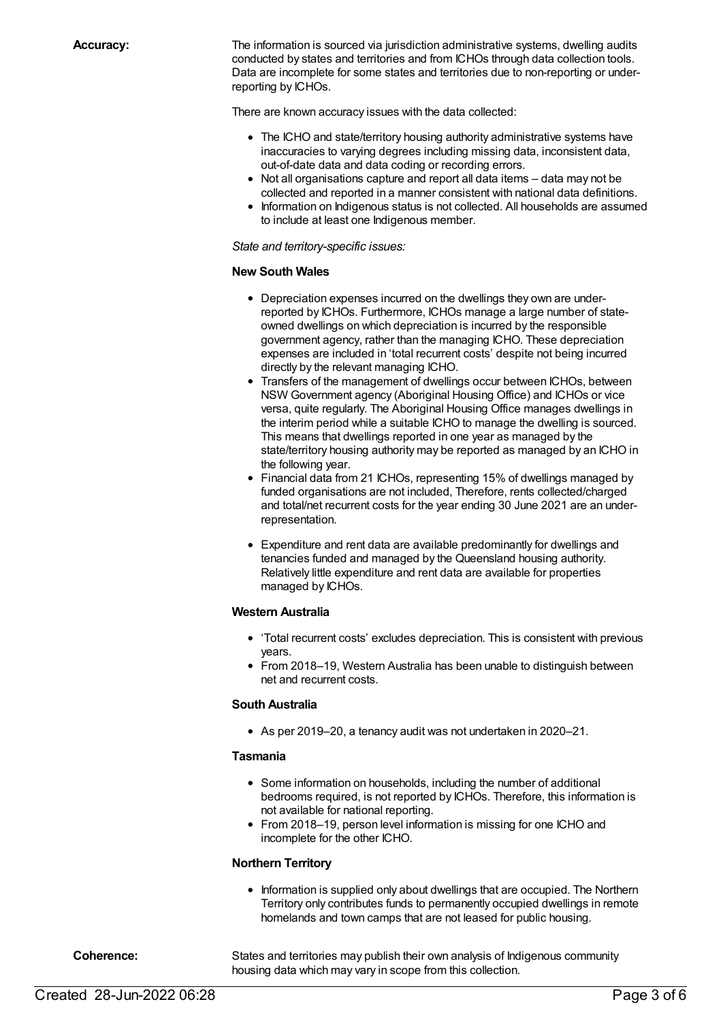**Accuracy:** The information is sourced via jurisdiction administrative systems, dwelling audits conducted by states and territories and from ICHOs through data collection tools. Data are incomplete for some states and territories due to non-reporting or underreporting by ICHOs.

There are known accuracy issues with the data collected:

- The ICHO and state/territory housing authority administrative systems have inaccuracies to varying degrees including missing data, inconsistent data, out-of-date data and data coding or recording errors.
- Not all organisations capture and report all data items data may not be collected and reported in a manner consistent with national data definitions.
- Information on Indigenous status is not collected. All households are assumed to include at least one Indigenous member.

*State and territory-specific issues:*

#### **New South Wales**

- Depreciation expenses incurred on the dwellings they own are underreported by ICHOs. Furthermore, ICHOs manage a large number of stateowned dwellings on which depreciation is incurred by the responsible government agency, rather than the managing ICHO. These depreciation expenses are included in 'total recurrent costs' despite not being incurred directly by the relevant managing ICHO.
- Transfers of the management of dwellings occur between ICHOs, between NSW Government agency (Aboriginal Housing Office) and ICHOs or vice versa, quite regularly. The Aboriginal Housing Office manages dwellings in the interim period while a suitable ICHO to manage the dwelling is sourced. This means that dwellings reported in one year as managed by the state/territory housing authority may be reported as managed by an ICHO in the following year.
- Financial data from 21 ICHOs, representing 15% of dwellings managed by funded organisations are not included, Therefore, rents collected/charged and total/net recurrent costs for the year ending 30 June 2021 are an underrepresentation.
- Expenditure and rent data are available predominantly for dwellings and tenancies funded and managed by the Queensland housing authority. Relatively little expenditure and rent data are available for properties managed by ICHOs.

#### **Western Australia**

- 'Total recurrent costs' excludes depreciation. This is consistent with previous years.
- From 2018–19, Western Australia has been unable to distinguish between net and recurrent costs.

#### **South Australia**

As per 2019–20, a tenancy audit was not undertaken in 2020–21.

#### **Tasmania**

- Some information on households, including the number of additional bedrooms required, is not reported by ICHOs. Therefore, this information is not available for national reporting.
- From 2018–19, person level information is missing for one ICHO and incomplete for the other ICHO.

#### **Northern Territory**

• Information is supplied only about dwellings that are occupied. The Northern Territory only contributes funds to permanently occupied dwellings in remote homelands and town camps that are not leased for public housing.

**Coherence:** States and territories may publish their own analysis of Indigenous community housing data which may vary in scope from this collection.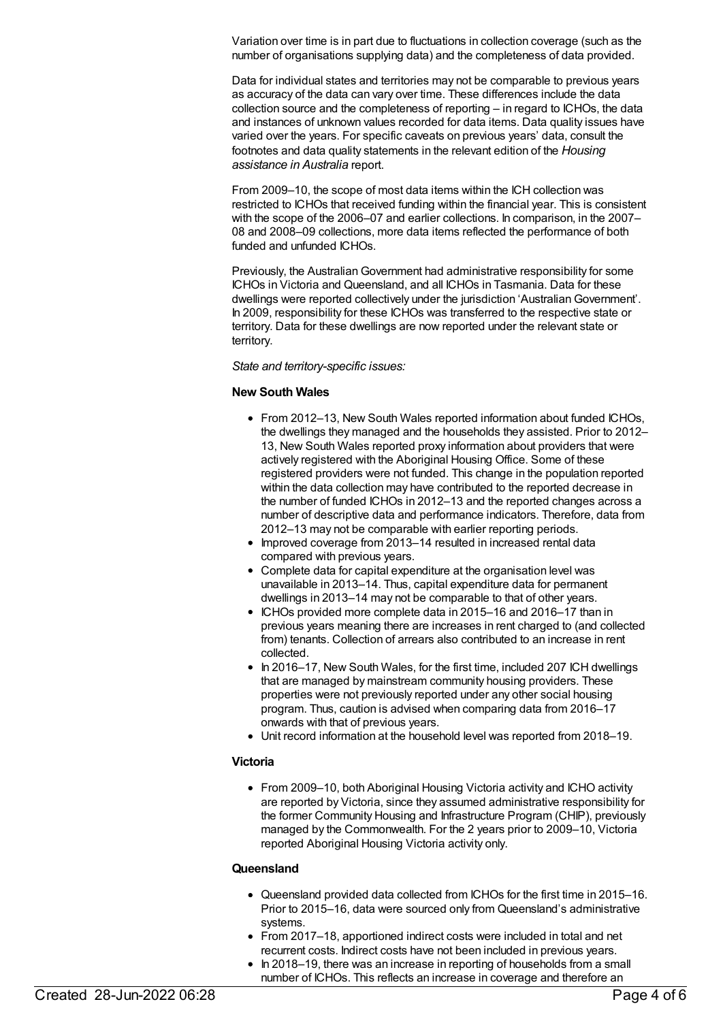Variation over time is in part due to fluctuations in collection coverage (such as the number of organisations supplying data) and the completeness of data provided.

Data for individual states and territories may not be comparable to previous years as accuracy of the data can vary over time. These differences include the data collection source and the completeness of reporting – in regard to ICHOs, the data and instances of unknown values recorded for data items. Data quality issues have varied over the years. For specific caveats on previous years' data, consult the footnotes and data quality statements in the relevant edition of the *Housing assistance in Australia* report.

From 2009–10, the scope of most data items within the ICH collection was restricted to ICHOs that received funding within the financial year. This is consistent with the scope of the 2006–07 and earlier collections. In comparison, in the 2007– 08 and 2008–09 collections, more data items reflected the performance of both funded and unfunded ICHOs.

Previously, the Australian Government had administrative responsibility for some ICHOs in Victoria and Queensland, and all ICHOs in Tasmania. Data for these dwellings were reported collectively under the jurisdiction 'Australian Government'. In 2009, responsibility for these ICHOs was transferred to the respective state or territory. Data for these dwellings are now reported under the relevant state or territory.

#### *State and territory-specific issues:*

#### **New South Wales**

- From 2012–13, New South Wales reported information about funded ICHOs, the dwellings they managed and the households they assisted. Prior to 2012– 13, New South Wales reported proxy information about providers that were actively registered with the Aboriginal Housing Office. Some of these registered providers were not funded. This change in the population reported within the data collection may have contributed to the reported decrease in the number of funded ICHOs in 2012–13 and the reported changes across a number of descriptive data and performance indicators. Therefore, data from 2012–13 may not be comparable with earlier reporting periods.
- Improved coverage from 2013–14 resulted in increased rental data compared with previous years.
- Complete data for capital expenditure at the organisation level was unavailable in 2013–14. Thus, capital expenditure data for permanent dwellings in 2013–14 may not be comparable to that of other years.
- ICHOs provided more complete data in 2015–16 and 2016–17 than in previous years meaning there are increases in rent charged to (and collected from) tenants. Collection of arrears also contributed to an increase in rent collected.
- In 2016–17, New South Wales, for the first time, included 207 ICH dwellings that are managed by mainstream community housing providers. These properties were not previously reported under any other social housing program. Thus, caution is advised when comparing data from 2016–17 onwards with that of previous years.
- Unit record information at the household level was reported from 2018–19.

#### **Victoria**

From 2009–10, both Aboriginal Housing Victoria activity and ICHO activity are reported by Victoria, since they assumed administrative responsibility for the former Community Housing and Infrastructure Program (CHIP), previously managed by the Commonwealth. For the 2 years prior to 2009–10, Victoria reported Aboriginal Housing Victoria activity only.

#### **Queensland**

- Queensland provided data collected from ICHOs for the first time in 2015–16. Prior to 2015–16, data were sourced only from Queensland's administrative systems.
- From 2017–18, apportioned indirect costs were included in total and net recurrent costs. Indirect costs have not been included in previous years.
- In 2018–19, there was an increase in reporting of households from a small number of ICHOs. This reflects an increase in coverage and therefore an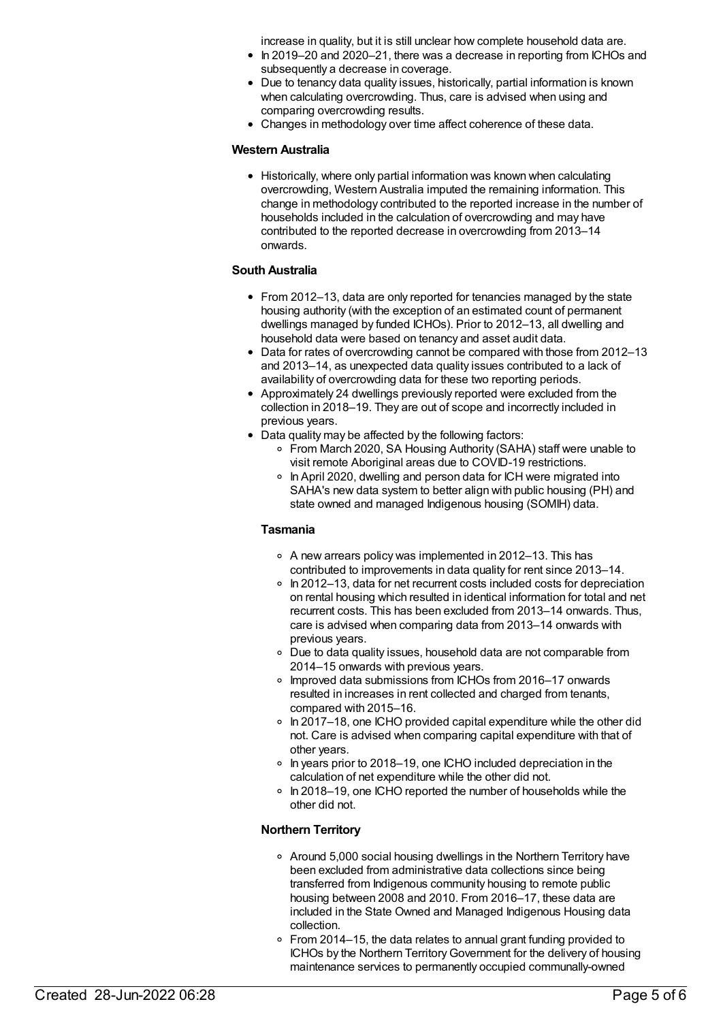increase in quality, but it is still unclear how complete household data are.

- In 2019–20 and 2020–21, there was a decrease in reporting from ICHOs and subsequently a decrease in coverage.
- Due to tenancy data quality issues, historically, partial information is known when calculating overcrowding. Thus, care is advised when using and comparing overcrowding results.
- Changes in methodology over time affect coherence of these data.

#### **Western Australia**

Historically, where only partial information was known when calculating overcrowding, Western Australia imputed the remaining information. This change in methodology contributed to the reported increase in the number of households included in the calculation of overcrowding and may have contributed to the reported decrease in overcrowding from 2013–14 onwards.

#### **South Australia**

- From 2012–13, data are only reported for tenancies managed by the state housing authority (with the exception of an estimated count of permanent dwellings managed by funded ICHOs). Prior to 2012–13, all dwelling and household data were based on tenancy and asset audit data.
- Data for rates of overcrowding cannot be compared with those from 2012–13 and 2013–14, as unexpected data quality issues contributed to a lack of availability of overcrowding data for these two reporting periods.
- Approximately 24 dwellings previously reported were excluded from the collection in 2018–19. They are out of scope and incorrectly included in previous years.
- Data quality may be affected by the following factors:
	- From March 2020, SA Housing Authority (SAHA) staff were unable to visit remote Aboriginal areas due to COVID-19 restrictions.
	- In April 2020, dwelling and person data for ICH were migrated into SAHA's new data system to better align with public housing (PH) and state owned and managed Indigenous housing (SOMIH) data.

#### **Tasmania**

- A new arrears policy was implemented in 2012–13. This has contributed to improvements in data quality for rent since 2013–14.
- In 2012–13, data for net recurrent costs included costs for depreciation on rental housing which resulted in identical information for total and net recurrent costs. This has been excluded from 2013–14 onwards. Thus, care is advised when comparing data from 2013–14 onwards with previous years.
- Due to data quality issues, household data are not comparable from 2014–15 onwards with previous years.
- Improved data submissions from ICHOs from 2016–17 onwards resulted in increases in rent collected and charged from tenants, compared with 2015–16.
- $\circ$  In 2017–18, one ICHO provided capital expenditure while the other did not. Care is advised when comparing capital expenditure with that of other years.
- In years prior to 2018–19, one ICHO included depreciation in the calculation of net expenditure while the other did not.
- $\circ$  In 2018–19, one ICHO reported the number of households while the other did not.

#### **Northern Territory**

- Around 5,000 social housing dwellings in the Northern Territory have been excluded from administrative data collections since being transferred from Indigenous community housing to remote public housing between 2008 and 2010. From 2016–17, these data are included in the State Owned and Managed Indigenous Housing data collection.
- From 2014–15, the data relates to annual grant funding provided to ICHOs by the Northern TerritoryGovernment for the delivery of housing maintenance services to permanently occupied communally-owned